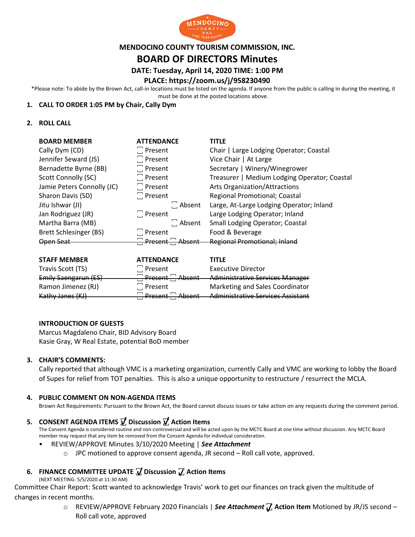

### **MENDOCINO COUNTY TOURISM COMMISSION, INC.**

# **BOARD OF DIRECTORS Minutes**

# **DATE: Tuesday, April 14, 2020 TIME: 1:00 PM**

## **PLACE: https://zoom.us/j/958230490**

\*Please note: To abide by the Brown Act, call-in locations must be listed on the agenda. If anyone from the public is calling in during the meeting, it must be done at the posted locations above.

### **1. CALL TO ORDER 1:05 PM by Chair, Cally Dym**

### **2. ROLL CALL**

| <b>BOARD MEMBER</b>        | <b>ATTENDANCE</b> | <b>TITLE</b>                                 |
|----------------------------|-------------------|----------------------------------------------|
| Cally Dym (CD)             | $\Box$ Present    | Chair   Large Lodging Operator; Coastal      |
| Jennifer Seward (JS)       | $\Box$ Present    | Vice Chair   At Large                        |
| Bernadette Byrne (BB)      | $\Box$ Present    | Secretary   Winery/Winegrower                |
| Scott Connolly (SC)        | $\Box$ Present    | Treasurer   Medium Lodging Operator; Coastal |
| Jamie Peters Connolly (JC) | $\Box$ Present    | Arts Organization/Attractions                |
| Sharon Davis (SD)          | $\Box$ Present    | Regional Promotional; Coastal                |
| Jitu Ishwar (JI)           | $\Box$ Absent     | Large, At-Large Lodging Operator; Inland     |
| Jan Rodriguez (JR)         | $\Box$ Present    | Large Lodging Operator; Inland               |
| Martha Barra (MB)          | $\Box$ Absent     | Small Lodging Operator; Coastal              |
| Brett Schlesinger (BS)     | $\Box$ Present    | Food & Beverage                              |
| Open Seat                  | Present Absent    | <b>Regional Promotional; Inland</b>          |
|                            |                   |                                              |
|                            |                   |                                              |

| <b>STAFF MEMBER</b>  | <b>ATTENDANCE</b>                | <b>TITLE</b>                             |
|----------------------|----------------------------------|------------------------------------------|
| Travis Scott (TS)    | $\Box$ Present                   | <b>Executive Director</b>                |
| Emily Saengarun (ES) | <del>. Present .</del><br>Absent | <b>Administrative Services Manager</b>   |
| Ramon Jimenez (RJ)   | $\Box$ Present                   | Marketing and Sales Coordinator          |
| Kathy Janes (KJ)     | Absent<br><b>Drocont</b>         | <b>Administrative Services Assistant</b> |

#### **INTRODUCTION OF GUESTS**

Marcus Magdaleno Chair, BID Advisory Board Kasie Gray, W Real Estate, potential BoD member

## **3. CHAIR'S COMMENTS:**

Cally reported that although VMC is a marketing organization, currently Cally and VMC are working to lobby the Board of Supes for relief from TOT penalties. This is also a unique opportunity to restructure / resurrect the MCLA.

#### **4. PUBLIC COMMENT ON NON-AGENDA ITEMS**

Brown Act Requirements: Pursuant to the Brown Act, the Board cannot discuss issues or take action on any requests during the comment period.

# **5. CONSENT AGENDA ITEMS ꙱ Discussion ꙱ Action Items**

The Consent Agenda is considered routine and non-controversial and will be acted upon by the MCTC Board at one time without discussion. Any MCTC Board member may request that any item be removed from the Consent Agenda for individual consideration.

- REVIEW/APPROVE Minutes 3/10/2020 Meeting | *See Attachment*
	- $\circ$  JPC motioned to approve consent agenda, JR second Roll call vote, approved.

# **6. FINANCE COMMITTEE UPDATE ꙱ Discussion ꙱ Action Items**

(NEXT MEETING: 5/5/2020 at 11:30 AM)

Committee Chair Report: Scott wanted to acknowledge Travis' work to get our finances on track given the multitude of changes in recent months.

> o REVIEW/APPROVE February 2020 Financials | *See Attachment* **꙱ Action Item** Motioned by JR/JS second – Roll call vote, approved